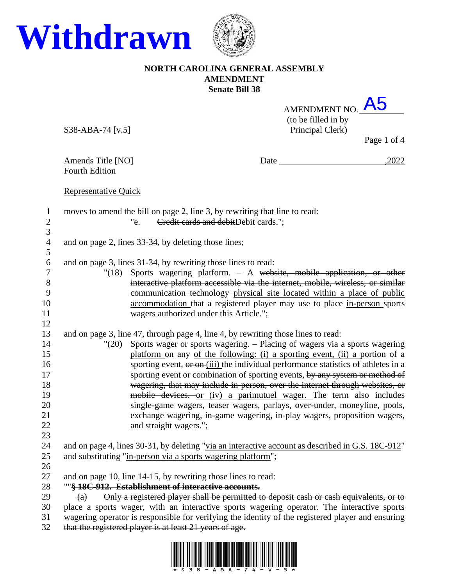



## **NORTH CAROLINA GENERAL ASSEMBLY AMENDMENT Senate Bill 38**

| AMENDMENT NO.       | <b>A5</b> |
|---------------------|-----------|
| (to be filled in by |           |
| Principal Clerk)    |           |

S38-ABA-74 [v.5]

Page 1 of 4

Fourth Edition

Amends Title [NO] Date ,2022

Representative Quick

| $\mathbf{1}$<br>$\sqrt{2}$<br>3 | moves to amend the bill on page 2, line 3, by rewriting that line to read:<br>Credit cards and debitDebit cards.";<br>"e. |
|---------------------------------|---------------------------------------------------------------------------------------------------------------------------|
| $\overline{4}$<br>5             | and on page 2, lines 33-34, by deleting those lines;                                                                      |
| 6                               | and on page 3, lines 31-34, by rewriting those lines to read:                                                             |
| $\tau$                          | Sports wagering platform. - A website, mobile application, or other<br>"(18)                                              |
| 8                               | interactive platform accessible via the internet, mobile, wireless, or similar                                            |
| 9                               | communication technology physical site located within a place of public                                                   |
| 10                              | accommodation that a registered player may use to place in-person sports                                                  |
| 11                              | wagers authorized under this Article.";                                                                                   |
| 12                              |                                                                                                                           |
| 13                              | and on page 3, line 47, through page 4, line 4, by rewriting those lines to read:                                         |
| 14                              | Sports wager or sports wagering. - Placing of wagers via a sports wagering<br>"(20)                                       |
| 15                              | platform on any of the following: (i) a sporting event, (ii) a portion of a                                               |
| 16                              | sporting event, or on (iii) the individual performance statistics of athletes in a                                        |
| 17                              | sporting event or combination of sporting events, by any system or method of                                              |
| 18                              | wagering, that may include in-person, over the internet through websites, or                                              |
| 19                              | mobile devices. or (iv) a parimutuel wager. The term also includes                                                        |
| 20                              | single-game wagers, teaser wagers, parlays, over-under, moneyline, pools,                                                 |
| 21                              | exchange wagering, in-game wagering, in-play wagers, proposition wagers,                                                  |
| 22                              | and straight wagers.";                                                                                                    |
| 23                              |                                                                                                                           |
| 24                              | and on page 4, lines 30-31, by deleting "via an interactive account as described in G.S. 18C-912"                         |
| 25                              | and substituting "in-person via a sports wagering platform";                                                              |
| 26                              |                                                                                                                           |
| 27                              | and on page 10, line 14-15, by rewriting those lines to read:                                                             |
| 28                              | ""§ 18C-912. Establishment of interactive accounts.                                                                       |
| 29                              | Only a registered player shall be permitted to deposit cash or cash equivalents, or to<br>$\left( a\right)$               |
| 30                              | place a sports wager, with an interactive sports wagering operator. The interactive sports                                |
| 31                              | wagering operator is responsible for verifying the identity of the registered player and ensuring                         |
| 32                              | that the registered player is at least 21 years of age.                                                                   |

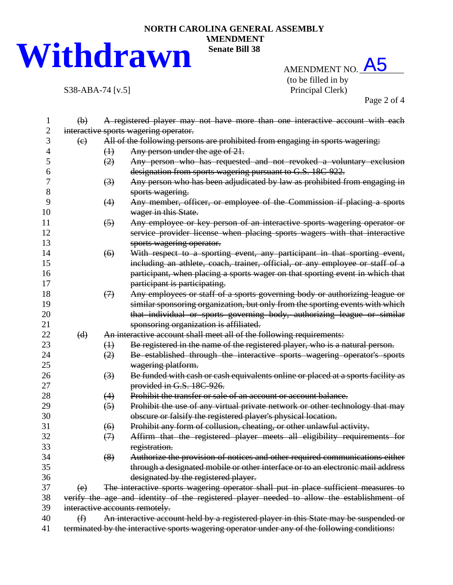

AMENDMENT NO. A5 (to be filled in by



S38-ABA-74 [v.5] Principal Clerk)

Page 2 of 4

| 1  | $\left(\mathbf{b}\right)$                                                                                  |                   | A registered player may not have more than one interactive account with each                  |  |  |
|----|------------------------------------------------------------------------------------------------------------|-------------------|-----------------------------------------------------------------------------------------------|--|--|
| 2  | interactive sports wagering operator.                                                                      |                   |                                                                                               |  |  |
| 3  | All of the following persons are prohibited from engaging in sports wagering:<br>$\left(\mathrm{e}\right)$ |                   |                                                                                               |  |  |
| 4  |                                                                                                            | $\leftrightarrow$ | Any person under the age of 21.                                                               |  |  |
| 5  |                                                                                                            | (2)               | Any person who has requested and not revoked a voluntary exclusion                            |  |  |
| 6  |                                                                                                            |                   | designation from sports wagering pursuant to G.S. 18C-922.                                    |  |  |
| 7  |                                                                                                            | $(3)$             | Any person who has been adjudicated by law as prohibited from engaging in                     |  |  |
| 8  |                                                                                                            |                   | sports wagering.                                                                              |  |  |
| 9  |                                                                                                            | (4)               | Any member, officer, or employee of the Commission if placing a sports                        |  |  |
| 10 |                                                                                                            |                   | wager in this State.                                                                          |  |  |
| 11 |                                                                                                            | $\left(5\right)$  | Any employee or key person of an interactive sports wagering operator or                      |  |  |
| 12 |                                                                                                            |                   | service provider license when placing sports wagers with that interactive                     |  |  |
| 13 |                                                                                                            |                   | sports wagering operator.                                                                     |  |  |
| 14 |                                                                                                            | (6)               | With respect to a sporting event, any participant in that sporting event,                     |  |  |
| 15 |                                                                                                            |                   | including an athlete, coach, trainer, official, or any employee or staff of a                 |  |  |
| 16 |                                                                                                            |                   | participant, when placing a sports wager on that sporting event in which that                 |  |  |
| 17 |                                                                                                            |                   | participant is participating.                                                                 |  |  |
| 18 |                                                                                                            | $\leftrightarrow$ | Any employees or staff of a sports governing body or authorizing league or                    |  |  |
| 19 |                                                                                                            |                   | similar sponsoring organization, but only from the sporting events with which                 |  |  |
| 20 |                                                                                                            |                   | that individual or sports governing body, authorizing league or similar                       |  |  |
| 21 |                                                                                                            |                   | sponsoring organization is affiliated.                                                        |  |  |
| 22 | (d)                                                                                                        |                   | An interactive account shall meet all of the following requirements:                          |  |  |
| 23 |                                                                                                            | $\leftrightarrow$ | Be registered in the name of the registered player, who is a natural person.                  |  |  |
| 24 |                                                                                                            | (2)               | Be established through the interactive sports wagering operator's sports                      |  |  |
| 25 |                                                                                                            |                   | wagering platform.                                                                            |  |  |
| 26 |                                                                                                            | (3)               | Be funded with cash or cash equivalents online or placed at a sports facility as              |  |  |
| 27 |                                                                                                            |                   | provided in G.S. 18C-926.                                                                     |  |  |
| 28 |                                                                                                            | (4)               | Prohibit the transfer or sale of an account or account balance.                               |  |  |
| 29 |                                                                                                            | $\left(5\right)$  | Prohibit the use of any virtual private network or other technology that may                  |  |  |
| 30 |                                                                                                            |                   | obscure or falsify the registered player's physical location.                                 |  |  |
| 31 |                                                                                                            | (6)               | Prohibit any form of collusion, cheating, or other unlawful activity.                         |  |  |
| 32 |                                                                                                            | (7)               | Affirm that the registered player meets all eligibility requirements for                      |  |  |
| 33 |                                                                                                            |                   | registration.                                                                                 |  |  |
| 34 |                                                                                                            | (8)               | Authorize the provision of notices and other required communications either                   |  |  |
| 35 |                                                                                                            |                   | through a designated mobile or other interface or to an electronic mail address               |  |  |
| 36 |                                                                                                            |                   | designated by the registered player.                                                          |  |  |
| 37 | (e)                                                                                                        |                   | The interactive sports wagering operator shall put in place sufficient measures to            |  |  |
| 38 |                                                                                                            |                   | verify the age and identity of the registered player needed to allow the establishment of     |  |  |
| 39 |                                                                                                            |                   | interactive accounts remotely.                                                                |  |  |
| 40 | $\bigoplus$                                                                                                |                   | An interactive account held by a registered player in this State may be suspended or          |  |  |
| 41 |                                                                                                            |                   | terminated by the interactive sports wagering operator under any of the following conditions: |  |  |

**AMENDMENT Senate Bill 38**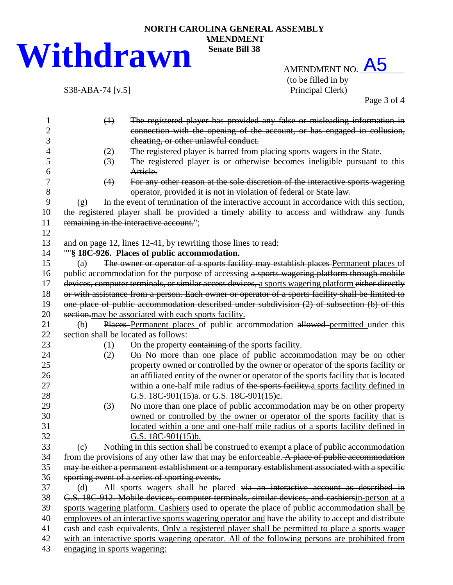

AMENDMENT NO. A5 (to be filled in by S38-ABA-74 [v.5] Principal Clerk)



Page 3 of 4

| 1                   | $\leftrightarrow$<br>The registered player has provided any false or misleading information in                                                                                                          |  |  |
|---------------------|---------------------------------------------------------------------------------------------------------------------------------------------------------------------------------------------------------|--|--|
| $\overline{2}$<br>3 | connection with the opening of the account, or has engaged in collusion,                                                                                                                                |  |  |
|                     | cheating, or other unlawful conduct.                                                                                                                                                                    |  |  |
| 4                   | The registered player is barred from placing sports wagers in the State.<br>(2)                                                                                                                         |  |  |
| 5                   | The registered player is or otherwise becomes ineligible pursuant to this<br>$\left(3\right)$                                                                                                           |  |  |
| 6                   | Artiele.                                                                                                                                                                                                |  |  |
| 7<br>8              | For any other reason at the sole discretion of the interactive sports wagering<br>(4)                                                                                                                   |  |  |
| 9                   | operator, provided it is not in violation of federal or State law.<br>In the event of termination of the interactive account in accordance with this section,                                           |  |  |
|                     | $\left( g\right)$                                                                                                                                                                                       |  |  |
| 10                  | the registered player shall be provided a timely ability to access and withdraw any funds                                                                                                               |  |  |
| 11                  | remaining in the interactive account.";                                                                                                                                                                 |  |  |
| 12<br>13            | and on page 12, lines 12-41, by rewriting those lines to read:                                                                                                                                          |  |  |
| 14                  | ""§ 18C-926. Places of public accommodation.                                                                                                                                                            |  |  |
| 15                  | The owner or operator of a sports facility may establish places Permanent places of<br>(a)                                                                                                              |  |  |
| 16                  | public accommodation for the purpose of accessing a sports wagering platform through mobile                                                                                                             |  |  |
| 17                  |                                                                                                                                                                                                         |  |  |
| 18                  | devices, computer terminals, or similar access devices, a sports wagering platform either directly<br>or with assistance from a person. Each owner or operator of a sports facility shall be limited to |  |  |
|                     |                                                                                                                                                                                                         |  |  |
| 19                  | one place of public accommodation described under subdivision (2) of subsection (b) of this                                                                                                             |  |  |
| 20                  | section may be associated with each sports facility.                                                                                                                                                    |  |  |
| 21                  | Places Permanent places of public accommodation allowed permitted under this<br>(b)<br>section shall be located as follows:                                                                             |  |  |
| 22                  |                                                                                                                                                                                                         |  |  |
| 23                  | On the property containing of the sports facility.<br>(1)                                                                                                                                               |  |  |
| 24                  | On-No more than one place of public accommodation may be on other<br>(2)                                                                                                                                |  |  |
| 25                  | property owned or controlled by the owner or operator of the sports facility or                                                                                                                         |  |  |
| 26                  | an affiliated entity of the owner or operator of the sports facility that is located                                                                                                                    |  |  |
| 27                  | within a one-half mile radius of the sports facility a sports facility defined in                                                                                                                       |  |  |
| 28                  | G.S. 18C-901(15)a. or G.S. 18C-901(15)c.                                                                                                                                                                |  |  |
| 29                  | No more than one place of public accommodation may be on other property<br>(3)                                                                                                                          |  |  |
| 30                  | owned or controlled by the owner or operator of the sports facility that is                                                                                                                             |  |  |
| 31                  | located within a one and one-half mile radius of a sports facility defined in                                                                                                                           |  |  |
| 32                  | G.S. $18C-901(15)$ b.                                                                                                                                                                                   |  |  |
| 33                  | Nothing in this section shall be construed to exempt a place of public accommodation<br>(c)                                                                                                             |  |  |
| 34                  | from the provisions of any other law that may be enforceable. A place of public accommodation                                                                                                           |  |  |
| 35                  | may be either a permanent establishment or a temporary establishment associated with a specific                                                                                                         |  |  |
| 36                  | sporting event of a series of sporting events.                                                                                                                                                          |  |  |
| 37                  | All sports wagers shall be placed via an interactive account as described in<br>(d)                                                                                                                     |  |  |
| 38                  | G.S. 18C-912. Mobile devices, computer terminals, similar devices, and cashiersin-person at a                                                                                                           |  |  |
| 39                  | sports wagering platform. Cashiers used to operate the place of public accommodation shall be                                                                                                           |  |  |
| 40                  | employees of an interactive sports wagering operator and have the ability to accept and distribute                                                                                                      |  |  |
| 41                  | cash and cash equivalents. Only a registered player shall be permitted to place a sports wager                                                                                                          |  |  |
| 42                  | with an interactive sports wagering operator. All of the following persons are prohibited from                                                                                                          |  |  |
| 43                  | engaging in sports wagering:                                                                                                                                                                            |  |  |

**AMENDMENT Senate Bill 38**